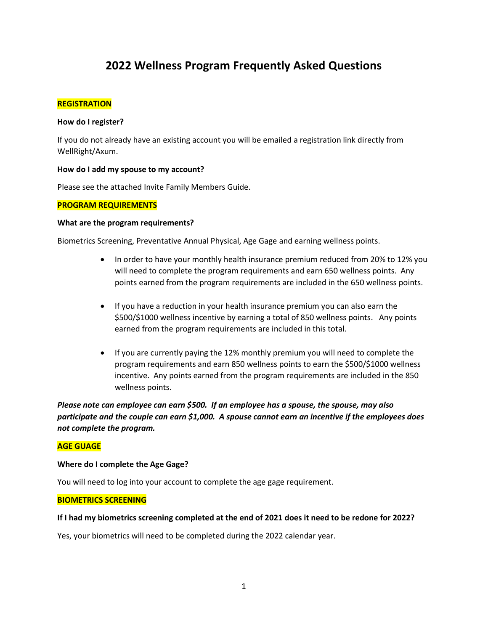# **2022 Wellness Program Frequently Asked Questions**

### **REGISTRATION**

### **How do I register?**

If you do not already have an existing account you will be emailed a registration link directly from WellRight/Axum.

## **How do I add my spouse to my account?**

Please see the attached Invite Family Members Guide.

## **PROGRAM REQUIREMENTS**

### **What are the program requirements?**

Biometrics Screening, Preventative Annual Physical, Age Gage and earning wellness points.

- In order to have your monthly health insurance premium reduced from 20% to 12% you will need to complete the program requirements and earn 650 wellness points. Any points earned from the program requirements are included in the 650 wellness points.
- If you have a reduction in your health insurance premium you can also earn the \$500/\$1000 wellness incentive by earning a total of 850 wellness points. Any points earned from the program requirements are included in this total.
- If you are currently paying the 12% monthly premium you will need to complete the program requirements and earn 850 wellness points to earn the \$500/\$1000 wellness incentive. Any points earned from the program requirements are included in the 850 wellness points.

*Please note can employee can earn \$500. If an employee has a spouse, the spouse, may also participate and the couple can earn \$1,000. A spouse cannot earn an incentive if the employees does not complete the program.* 

### **AGE GUAGE**

### **Where do I complete the Age Gage?**

You will need to log into your account to complete the age gage requirement.

### **BIOMETRICS SCREENING**

### **If I had my biometrics screening completed at the end of 2021 does it need to be redone for 2022?**

Yes, your biometrics will need to be completed during the 2022 calendar year.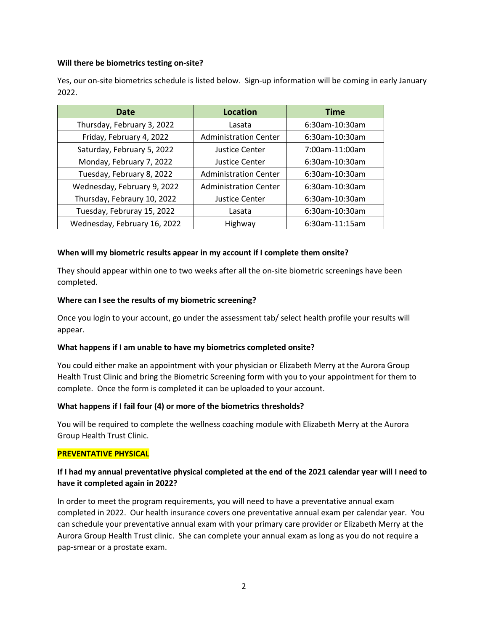# **Will there be biometrics testing on-site?**

Yes, our on-site biometrics schedule is listed below. Sign-up information will be coming in early January 2022.

| Date                         | <b>Location</b>              | <b>Time</b>    |
|------------------------------|------------------------------|----------------|
| Thursday, February 3, 2022   | Lasata                       | 6:30am-10:30am |
| Friday, February 4, 2022     | <b>Administration Center</b> | 6:30am-10:30am |
| Saturday, February 5, 2022   | <b>Justice Center</b>        | 7:00am-11:00am |
| Monday, February 7, 2022     | <b>Justice Center</b>        | 6:30am-10:30am |
| Tuesday, February 8, 2022    | <b>Administration Center</b> | 6:30am-10:30am |
| Wednesday, February 9, 2022  | <b>Administration Center</b> | 6:30am-10:30am |
| Thursday, Febraury 10, 2022  | <b>Justice Center</b>        | 6:30am-10:30am |
| Tuesday, Februray 15, 2022   | Lasata                       | 6:30am-10:30am |
| Wednesday, February 16, 2022 | Highway                      | 6:30am-11:15am |

## **When will my biometric results appear in my account if I complete them onsite?**

They should appear within one to two weeks after all the on-site biometric screenings have been completed.

## **Where can I see the results of my biometric screening?**

Once you login to your account, go under the assessment tab/ select health profile your results will appear.

# **What happens if I am unable to have my biometrics completed onsite?**

You could either make an appointment with your physician or Elizabeth Merry at the Aurora Group Health Trust Clinic and bring the Biometric Screening form with you to your appointment for them to complete. Once the form is completed it can be uploaded to your account.

# **What happens if I fail four (4) or more of the biometrics thresholds?**

You will be required to complete the wellness coaching module with Elizabeth Merry at the Aurora Group Health Trust Clinic.

### **PREVENTATIVE PHYSICAL**

# **If I had my annual preventative physical completed at the end of the 2021 calendar year will I need to have it completed again in 2022?**

In order to meet the program requirements, you will need to have a preventative annual exam completed in 2022. Our health insurance covers one preventative annual exam per calendar year. You can schedule your preventative annual exam with your primary care provider or Elizabeth Merry at the Aurora Group Health Trust clinic. She can complete your annual exam as long as you do not require a pap-smear or a prostate exam.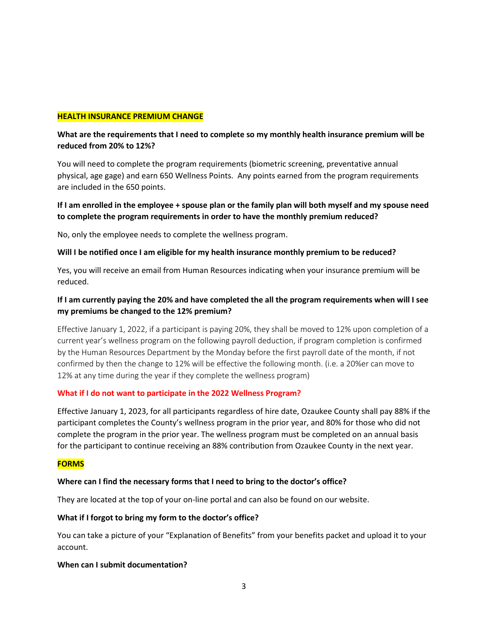### **HEALTH INSURANCE PREMIUM CHANGE**

# **What are the requirements that I need to complete so my monthly health insurance premium will be reduced from 20% to 12%?**

You will need to complete the program requirements (biometric screening, preventative annual physical, age gage) and earn 650 Wellness Points. Any points earned from the program requirements are included in the 650 points.

# **If I am enrolled in the employee + spouse plan or the family plan will both myself and my spouse need to complete the program requirements in order to have the monthly premium reduced?**

No, only the employee needs to complete the wellness program.

# **Will I be notified once I am eligible for my health insurance monthly premium to be reduced?**

Yes, you will receive an email from Human Resources indicating when your insurance premium will be reduced.

# **If I am currently paying the 20% and have completed the all the program requirements when will I see my premiums be changed to the 12% premium?**

Effective January 1, 2022, if a participant is paying 20%, they shall be moved to 12% upon completion of a current year's wellness program on the following payroll deduction, if program completion is confirmed by the Human Resources Department by the Monday before the first payroll date of the month, if not confirmed by then the change to 12% will be effective the following month. (i.e. a 20%er can move to 12% at any time during the year if they complete the wellness program)

### **What if I do not want to participate in the 2022 Wellness Program?**

Effective January 1, 2023, for all participants regardless of hire date, Ozaukee County shall pay 88% if the participant completes the County's wellness program in the prior year, and 80% for those who did not complete the program in the prior year. The wellness program must be completed on an annual basis for the participant to continue receiving an 88% contribution from Ozaukee County in the next year.

# **FORMS**

# **Where can I find the necessary forms that I need to bring to the doctor's office?**

They are located at the top of your on-line portal and can also be found on our website.

### **What if I forgot to bring my form to the doctor's office?**

You can take a picture of your "Explanation of Benefits" from your benefits packet and upload it to your account.

# **When can I submit documentation?**